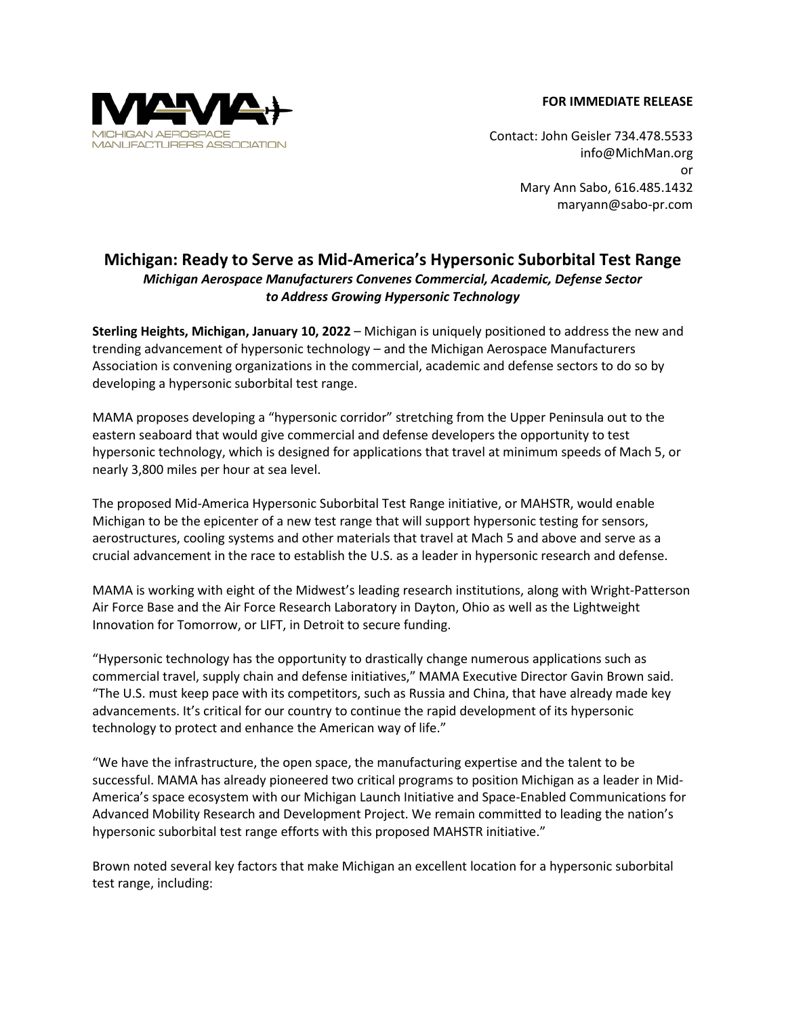## **FOR IMMEDIATE RELEASE**



Contact: John Geisler 734.478.5533 [info@MichMan.org](mailto:info@MichMan.org) or Mary Ann Sabo, 616.485.1432 maryann@sabo-pr.com

## **Michigan: Ready to Serve as Mid-America's Hypersonic Suborbital Test Range** *Michigan Aerospace Manufacturers Convenes Commercial, Academic, Defense Sector to Address Growing Hypersonic Technology*

**Sterling Heights, Michigan, January 10, 2022** – Michigan is uniquely positioned to address the new and trending advancement of hypersonic technology – and the Michigan Aerospace Manufacturers Association is convening organizations in the commercial, academic and defense sectors to do so by developing a hypersonic suborbital test range.

MAMA proposes developing a "hypersonic corridor" stretching from the Upper Peninsula out to the eastern seaboard that would give commercial and defense developers the opportunity to test hypersonic technology, which is designed for applications that travel at minimum speeds of Mach 5, or nearly 3,800 miles per hour at sea level.

The proposed Mid-America Hypersonic Suborbital Test Range initiative, or MAHSTR, would enable Michigan to be the epicenter of a new test range that will support hypersonic testing for sensors, aerostructures, cooling systems and other materials that travel at Mach 5 and above and serve as a crucial advancement in the race to establish the U.S. as a leader in hypersonic research and defense.

MAMA is working with eight of the Midwest's leading research institutions, along with Wright-Patterson Air Force Base and the Air Force Research Laboratory in Dayton, Ohio as well as the Lightweight Innovation for Tomorrow, or LIFT, in Detroit to secure funding.

"Hypersonic technology has the opportunity to drastically change numerous applications such as commercial travel, supply chain and defense initiatives," MAMA Executive Director Gavin Brown said. "The U.S. must keep pace with its competitors, such as Russia and China, that have already made key advancements. It's critical for our country to continue the rapid development of its hypersonic technology to protect and enhance the American way of life."

"We have the infrastructure, the open space, the manufacturing expertise and the talent to be successful. MAMA has already pioneered two critical programs to position Michigan as a leader in Mid-America's space ecosystem with our Michigan Launch Initiative and Space-Enabled Communications for Advanced Mobility Research and Development Project. We remain committed to leading the nation's hypersonic suborbital test range efforts with this proposed MAHSTR initiative."

Brown noted several key factors that make Michigan an excellent location for a hypersonic suborbital test range, including: